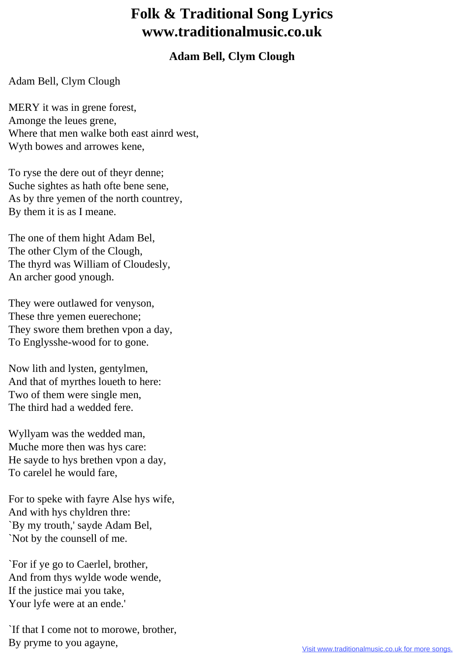## **Folk & Traditional Song Lyrics www.traditionalmusic.co.uk**

## **Adam Bell, Clym Clough**

## Adam Bell, Clym Clough

MERY it was in grene forest, Amonge the leues grene, Where that men walke both east ainrd west, Wyth bowes and arrowes kene,

To ryse the dere out of theyr denne; Suche sightes as hath ofte bene sene, As by thre yemen of the north countrey, By them it is as I meane.

The one of them hight Adam Bel, The other Clym of the Clough, The thyrd was William of Cloudesly, An archer good ynough.

They were outlawed for venyson, These thre yemen euerechone; They swore them brethen vpon a day, To Englysshe-wood for to gone.

Now lith and lysten, gentylmen, And that of myrthes loueth to here: Two of them were single men, The third had a wedded fere.

Wyllyam was the wedded man, Muche more then was hys care: He sayde to hys brethen vpon a day, To carelel he would fare,

For to speke with fayre Alse hys wife, And with hys chyldren thre: `By my trouth,' sayde Adam Bel, `Not by the counsell of me.

`For if ye go to Caerlel, brother, And from thys wylde wode wende, If the justice mai you take, Your lyfe were at an ende.'

`If that I come not to morowe, brother, By pryme to you agayne,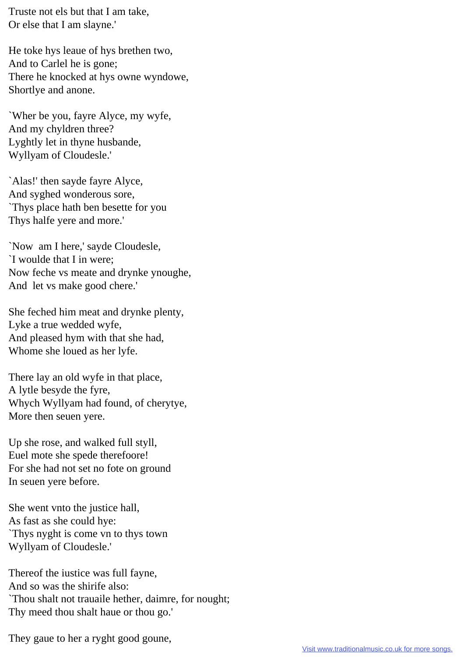Truste not els but that I am take, Or else that I am slayne.'

He toke hys leaue of hys brethen two, And to Carlel he is gone; There he knocked at hys owne wyndowe, Shortlye and anone.

`Wher be you, fayre Alyce, my wyfe, And my chyldren three? Lyghtly let in thyne husbande, Wyllyam of Cloudesle.'

`Alas!' then sayde fayre Alyce, And syghed wonderous sore, `Thys place hath ben besette for you Thys halfe yere and more.'

`Now am I here,' sayde Cloudesle, `I woulde that I in were; Now feche vs meate and drynke ynoughe, And let vs make good chere.'

She feched him meat and drynke plenty, Lyke a true wedded wyfe, And pleased hym with that she had, Whome she loued as her lyfe.

There lay an old wyfe in that place, A lytle besyde the fyre, Whych Wyllyam had found, of cherytye, More then seuen yere.

Up she rose, and walked full styll, Euel mote she spede therefoore! For she had not set no fote on ground In seuen yere before.

She went vnto the justice hall, As fast as she could hye: `Thys nyght is come vn to thys town Wyllyam of Cloudesle.'

Thereof the iustice was full fayne, And so was the shirife also: `Thou shalt not trauaile hether, daimre, for nought; Thy meed thou shalt haue or thou go.'

They gaue to her a ryght good goune,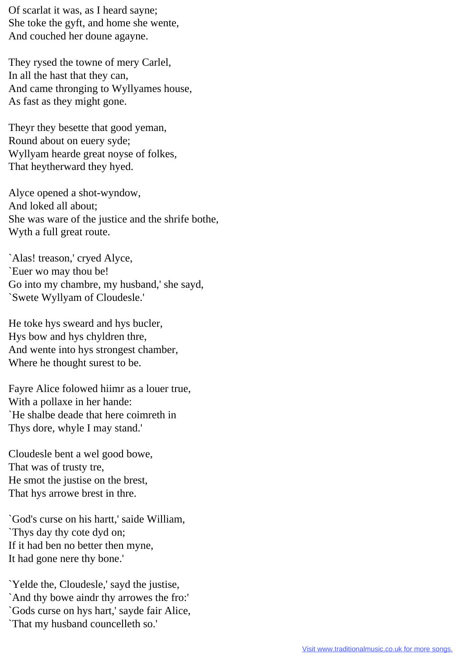Of scarlat it was, as I heard sayne; She toke the gyft, and home she wente, And couched her doune agayne.

They rysed the towne of mery Carlel, In all the hast that they can, And came thronging to Wyllyames house, As fast as they might gone.

Theyr they besette that good yeman, Round about on euery syde; Wyllyam hearde great noyse of folkes, That heytherward they hyed.

Alyce opened a shot-wyndow, And loked all about; She was ware of the justice and the shrife bothe, Wyth a full great route.

`Alas! treason,' cryed Alyce, `Euer wo may thou be! Go into my chambre, my husband,' she sayd, `Swete Wyllyam of Cloudesle.'

He toke hys sweard and hys bucler, Hys bow and hys chyldren thre, And wente into hys strongest chamber, Where he thought surest to be.

Fayre Alice folowed hiimr as a louer true, With a pollaxe in her hande: `He shalbe deade that here coimreth in Thys dore, whyle I may stand.'

Cloudesle bent a wel good bowe, That was of trusty tre, He smot the justise on the brest, That hys arrowe brest in thre.

`God's curse on his hartt,' saide William, `Thys day thy cote dyd on; If it had ben no better then myne, It had gone nere thy bone.'

`Yelde the, Cloudesle,' sayd the justise, `And thy bowe aindr thy arrowes the fro:' `Gods curse on hys hart,' sayde fair Alice, `That my husband councelleth so.'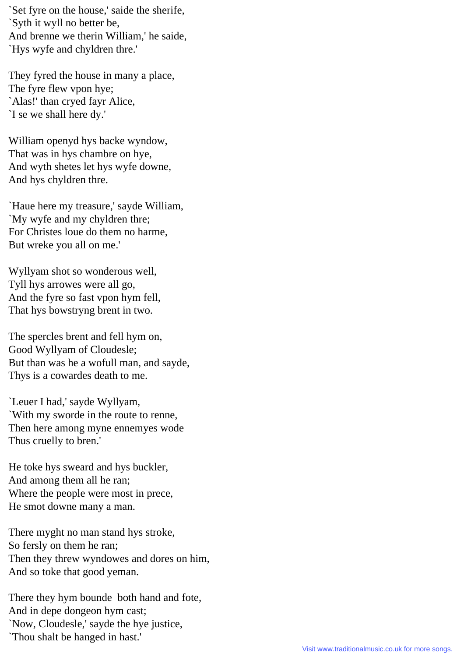`Set fyre on the house,' saide the sherife, `Syth it wyll no better be, And brenne we therin William,' he saide, `Hys wyfe and chyldren thre.'

They fyred the house in many a place, The fyre flew vpon hye; `Alas!' than cryed fayr Alice, `I se we shall here dy.'

William openyd hys backe wyndow, That was in hys chambre on hye, And wyth shetes let hys wyfe downe, And hys chyldren thre.

`Haue here my treasure,' sayde William, `My wyfe and my chyldren thre; For Christes loue do them no harme, But wreke you all on me.'

Wyllyam shot so wonderous well, Tyll hys arrowes were all go, And the fyre so fast vpon hym fell, That hys bowstryng brent in two.

The spercles brent and fell hym on, Good Wyllyam of Cloudesle; But than was he a wofull man, and sayde, Thys is a cowardes death to me.

`Leuer I had,' sayde Wyllyam, `With my sworde in the route to renne, Then here among myne ennemyes wode Thus cruelly to bren.'

He toke hys sweard and hys buckler, And among them all he ran; Where the people were most in prece, He smot downe many a man.

There myght no man stand hys stroke, So fersly on them he ran; Then they threw wyndowes and dores on him, And so toke that good yeman.

There they hym bounde both hand and fote, And in depe dongeon hym cast; `Now, Cloudesle,' sayde the hye justice, `Thou shalt be hanged in hast.'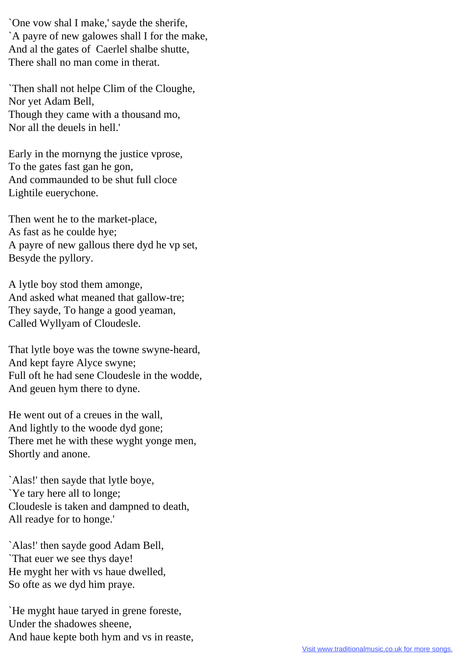`One vow shal I make,' sayde the sherife, `A payre of new galowes shall I for the make, And al the gates of Caerlel shalbe shutte, There shall no man come in therat.

`Then shall not helpe Clim of the Cloughe, Nor yet Adam Bell, Though they came with a thousand mo, Nor all the deuels in hell.'

Early in the mornyng the justice vprose, To the gates fast gan he gon, And commaunded to be shut full cloce Lightile euerychone.

Then went he to the market-place, As fast as he coulde hye; A payre of new gallous there dyd he vp set, Besyde the pyllory.

A lytle boy stod them amonge, And asked what meaned that gallow-tre; They sayde, To hange a good yeaman, Called Wyllyam of Cloudesle.

That lytle boye was the towne swyne-heard, And kept fayre Alyce swyne; Full oft he had sene Cloudesle in the wodde, And geuen hym there to dyne.

He went out of a creues in the wall, And lightly to the woode dyd gone; There met he with these wyght yonge men, Shortly and anone.

`Alas!' then sayde that lytle boye, `Ye tary here all to longe; Cloudesle is taken and dampned to death, All readye for to honge.'

`Alas!' then sayde good Adam Bell, `That euer we see thys daye! He myght her with vs haue dwelled, So ofte as we dyd him praye.

`He myght haue taryed in grene foreste, Under the shadowes sheene, And haue kepte both hym and vs in reaste,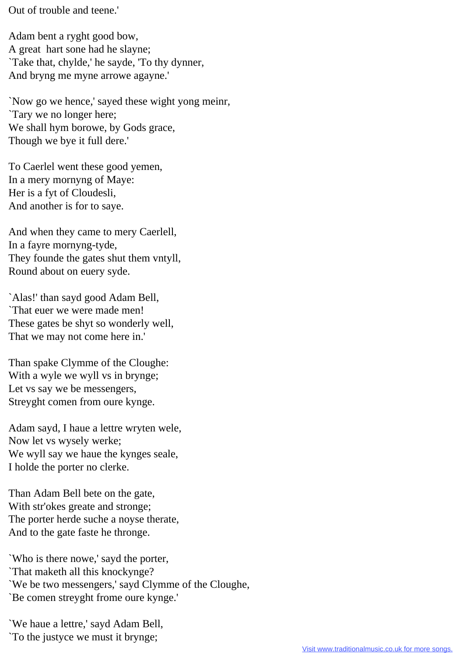Out of trouble and teene.'

Adam bent a ryght good bow, A great hart sone had he slayne; `Take that, chylde,' he sayde, 'To thy dynner, And bryng me myne arrowe agayne.'

`Now go we hence,' sayed these wight yong meinr, `Tary we no longer here; We shall hym borowe, by Gods grace, Though we bye it full dere.'

To Caerlel went these good yemen, In a mery mornyng of Maye: Her is a fyt of Cloudesli, And another is for to saye.

And when they came to mery Caerlell, In a fayre mornyng-tyde, They founde the gates shut them vntyll, Round about on euery syde.

`Alas!' than sayd good Adam Bell, `That euer we were made men! These gates be shyt so wonderly well, That we may not come here in.'

Than spake Clymme of the Cloughe: With a wyle we wyll vs in brynge; Let vs say we be messengers, Streyght comen from oure kynge.

Adam sayd, I haue a lettre wryten wele, Now let vs wysely werke; We wyll say we haue the kynges seale, I holde the porter no clerke.

Than Adam Bell bete on the gate, With str'okes greate and stronge; The porter herde suche a noyse therate, And to the gate faste he thronge.

`Who is there nowe,' sayd the porter, `That maketh all this knockynge? `We be two messengers,' sayd Clymme of the Cloughe, `Be comen streyght frome oure kynge.'

`We haue a lettre,' sayd Adam Bell, `To the justyce we must it brynge;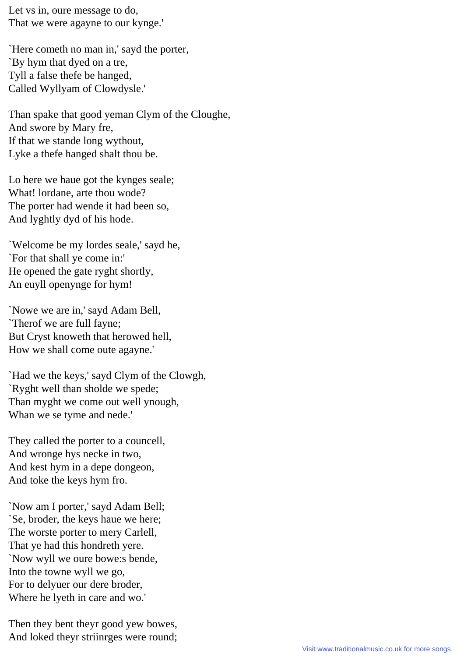Let vs in, oure message to do, That we were agayne to our kynge.'

`Here cometh no man in,' sayd the porter, `By hym that dyed on a tre, Tyll a false thefe be hanged, Called Wyllyam of Clowdysle.'

Than spake that good yeman Clym of the Cloughe, And swore by Mary fre, If that we stande long wythout, Lyke a thefe hanged shalt thou be.

Lo here we haue got the kynges seale; What! lordane, arte thou wode? The porter had wende it had been so, And lyghtly dyd of his hode.

`Welcome be my lordes seale,' sayd he, `For that shall ye come in:' He opened the gate ryght shortly, An euyll openynge for hym!

`Nowe we are in,' sayd Adam Bell, `Therof we are full fayne; But Cryst knoweth that herowed hell, How we shall come oute agayne.'

`Had we the keys,' sayd Clym of the Clowgh, `Ryght well than sholde we spede; Than myght we come out well ynough, Whan we se tyme and nede.'

They called the porter to a councell, And wronge hys necke in two, And kest hym in a depe dongeon, And toke the keys hym fro.

`Now am I porter,' sayd Adam Bell; `Se, broder, the keys haue we here; The worste porter to mery Carlell, That ye had this hondreth yere. `Now wyll we oure bowe:s bende, Into the towne wyll we go, For to delyuer our dere broder, Where he lyeth in care and wo.'

Then they bent theyr good yew bowes, And loked theyr striinrges were round;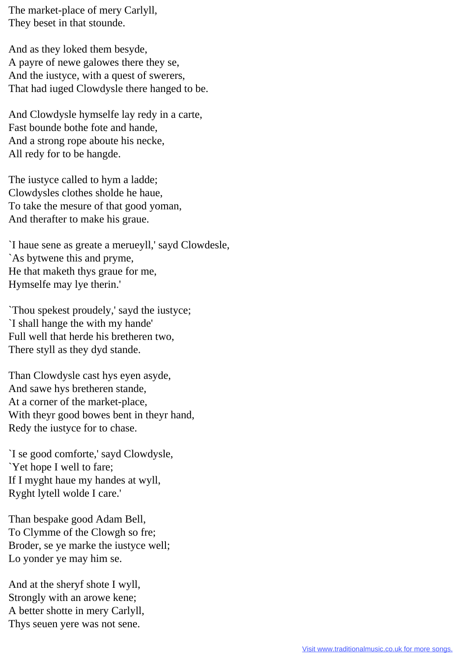The market-place of mery Carlyll, They beset in that stounde.

And as they loked them besyde, A payre of newe galowes there they se, And the iustyce, with a quest of swerers, That had iuged Clowdysle there hanged to be.

And Clowdysle hymselfe lay redy in a carte, Fast bounde bothe fote and hande, And a strong rope aboute his necke, All redy for to be hangde.

The iustyce called to hym a ladde; Clowdysles clothes sholde he haue, To take the mesure of that good yoman, And therafter to make his graue.

`I haue sene as greate a merueyll,' sayd Clowdesle, `As bytwene this and pryme, He that maketh thys graue for me, Hymselfe may lye therin.'

`Thou spekest proudely,' sayd the iustyce; `I shall hange the with my hande' Full well that herde his bretheren two, There styll as they dyd stande.

Than Clowdysle cast hys eyen asyde, And sawe hys bretheren stande, At a corner of the market-place, With theyr good bowes bent in theyr hand, Redy the iustyce for to chase.

`I se good comforte,' sayd Clowdysle, `Yet hope I well to fare; If I myght haue my handes at wyll, Ryght lytell wolde I care.'

Than bespake good Adam Bell, To Clymme of the Clowgh so fre; Broder, se ye marke the iustyce well; Lo yonder ye may him se.

And at the sheryf shote I wyll, Strongly with an arowe kene; A better shotte in mery Carlyll, Thys seuen yere was not sene.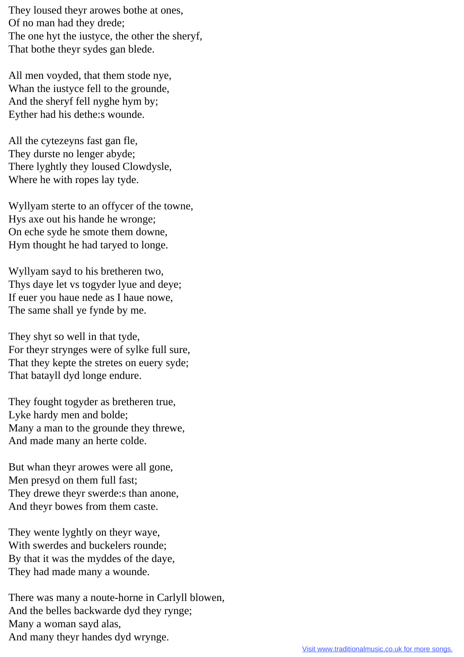They loused theyr arowes bothe at ones, Of no man had they drede; The one hyt the iustyce, the other the sheryf, That bothe theyr sydes gan blede.

All men voyded, that them stode nye, Whan the iustyce fell to the grounde, And the sheryf fell nyghe hym by; Eyther had his dethe:s wounde.

All the cytezeyns fast gan fle, They durste no lenger abyde; There lyghtly they loused Clowdysle, Where he with ropes lay tyde.

Wyllyam sterte to an offycer of the towne, Hys axe out his hande he wronge; On eche syde he smote them downe, Hym thought he had taryed to longe.

Wyllyam sayd to his bretheren two, Thys daye let vs togyder lyue and deye; If euer you haue nede as I haue nowe, The same shall ye fynde by me.

They shyt so well in that tyde, For theyr strynges were of sylke full sure, That they kepte the stretes on euery syde; That batayll dyd longe endure.

They fought togyder as bretheren true, Lyke hardy men and bolde; Many a man to the grounde they threwe, And made many an herte colde.

But whan theyr arowes were all gone, Men presyd on them full fast; They drewe theyr swerde:s than anone, And theyr bowes from them caste.

They wente lyghtly on theyr waye, With swerdes and buckelers rounde; By that it was the myddes of the daye, They had made many a wounde.

There was many a noute-horne in Carlyll blowen, And the belles backwarde dyd they rynge; Many a woman sayd alas, And many theyr handes dyd wrynge.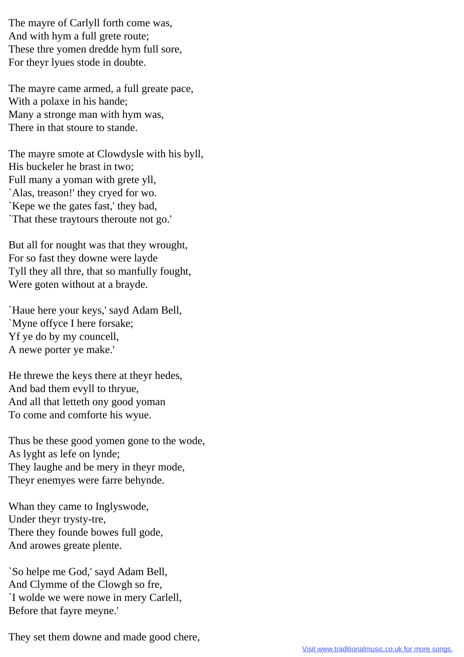The mayre of Carlyll forth come was, And with hym a full grete route; These thre yomen dredde hym full sore, For theyr lyues stode in doubte.

The mayre came armed, a full greate pace, With a polaxe in his hande; Many a stronge man with hym was, There in that stoure to stande.

The mayre smote at Clowdysle with his byll, His buckeler he brast in two; Full many a yoman with grete yll, `Alas, treason!' they cryed for wo. `Kepe we the gates fast,' they bad, `That these traytours theroute not go.'

But all for nought was that they wrought, For so fast they downe were layde Tyll they all thre, that so manfully fought, Were goten without at a brayde.

`Haue here your keys,' sayd Adam Bell, `Myne offyce I here forsake; Yf ye do by my councell, A newe porter ye make.'

He threwe the keys there at theyr hedes, And bad them evyll to thryue, And all that letteth ony good yoman To come and comforte his wyue.

Thus be these good yomen gone to the wode, As lyght as lefe on lynde; They laughe and be mery in theyr mode, Theyr enemyes were farre behynde.

Whan they came to Inglyswode, Under theyr trysty-tre, There they founde bowes full gode, And arowes greate plente.

`So helpe me God,' sayd Adam Bell, And Clymme of the Clowgh so fre, `I wolde we were nowe in mery Carlell, Before that fayre meyne.'

They set them downe and made good chere,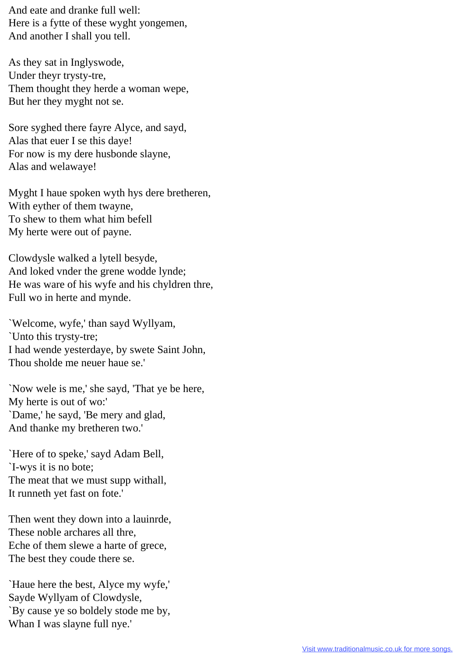And eate and dranke full well: Here is a fytte of these wyght yongemen, And another I shall you tell.

As they sat in Inglyswode, Under theyr trysty-tre, Them thought they herde a woman wepe, But her they myght not se.

Sore syghed there fayre Alyce, and sayd, Alas that euer I se this daye! For now is my dere husbonde slayne, Alas and welawaye!

Myght I haue spoken wyth hys dere bretheren, With eyther of them twayne, To shew to them what him befell My herte were out of payne.

Clowdysle walked a lytell besyde, And loked vnder the grene wodde lynde; He was ware of his wyfe and his chyldren thre, Full wo in herte and mynde.

`Welcome, wyfe,' than sayd Wyllyam, `Unto this trysty-tre; I had wende yesterdaye, by swete Saint John, Thou sholde me neuer haue se.'

`Now wele is me,' she sayd, 'That ye be here, My herte is out of wo:' `Dame,' he sayd, 'Be mery and glad, And thanke my bretheren two.'

`Here of to speke,' sayd Adam Bell, `I-wys it is no bote; The meat that we must supp withall, It runneth yet fast on fote.'

Then went they down into a lauinrde, These noble archares all thre, Eche of them slewe a harte of grece, The best they coude there se.

`Haue here the best, Alyce my wyfe,' Sayde Wyllyam of Clowdysle, `By cause ye so boldely stode me by, Whan I was slayne full nye.'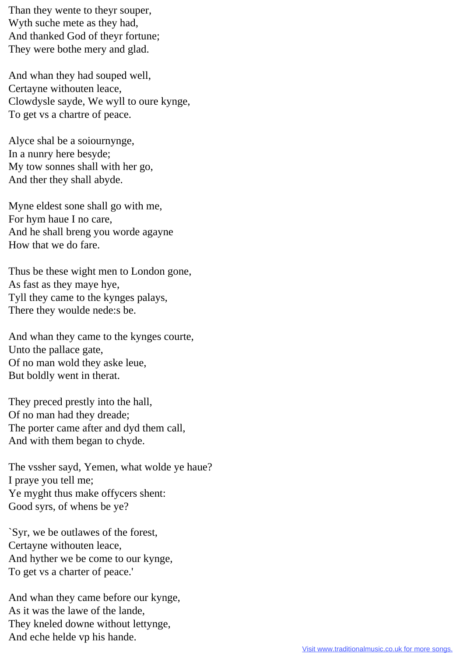Than they wente to theyr souper, Wyth suche mete as they had, And thanked God of theyr fortune; They were bothe mery and glad.

And whan they had souped well, Certayne withouten leace, Clowdysle sayde, We wyll to oure kynge, To get vs a chartre of peace.

Alyce shal be a soiournynge, In a nunry here besyde; My tow sonnes shall with her go, And ther they shall abyde.

Myne eldest sone shall go with me, For hym haue I no care, And he shall breng you worde agayne How that we do fare.

Thus be these wight men to London gone, As fast as they maye hye, Tyll they came to the kynges palays, There they woulde nede:s be.

And whan they came to the kynges courte, Unto the pallace gate, Of no man wold they aske leue, But boldly went in therat.

They preced prestly into the hall, Of no man had they dreade; The porter came after and dyd them call, And with them began to chyde.

The vssher sayd, Yemen, what wolde ye haue? I praye you tell me; Ye myght thus make offycers shent: Good syrs, of whens be ye?

`Syr, we be outlawes of the forest, Certayne withouten leace, And hyther we be come to our kynge, To get vs a charter of peace.'

And whan they came before our kynge, As it was the lawe of the lande, They kneled downe without lettynge, And eche helde vp his hande.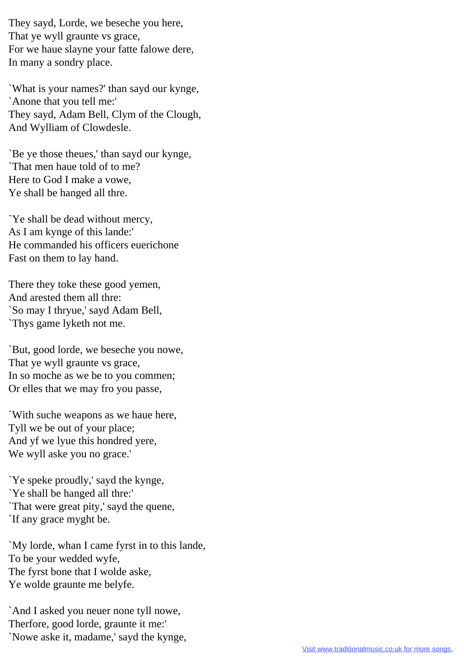They sayd, Lorde, we beseche you here, That ye wyll graunte vs grace, For we haue slayne your fatte falowe dere, In many a sondry place.

`What is your names?' than sayd our kynge, `Anone that you tell me:' They sayd, Adam Bell, Clym of the Clough, And Wylliam of Clowdesle.

`Be ye those theues,' than sayd our kynge, `That men haue told of to me? Here to God I make a vowe, Ye shall be hanged all thre.

`Ye shall be dead without mercy, As I am kynge of this lande:' He commanded his officers euerichone Fast on them to lay hand.

There they toke these good yemen, And arested them all thre: `So may I thryue,' sayd Adam Bell, `Thys game lyketh not me.

`But, good lorde, we beseche you nowe, That ye wyll graunte vs grace, In so moche as we be to you commen; Or elles that we may fro you passe,

`With suche weapons as we haue here, Tyll we be out of your place; And yf we lyue this hondred yere, We wyll aske you no grace.'

`Ye speke proudly,' sayd the kynge, `Ye shall be hanged all thre:' `That were great pity,' sayd the quene, `If any grace myght be.

`My lorde, whan I came fyrst in to this lande, To be your wedded wyfe, The fyrst bone that I wolde aske, Ye wolde graunte me belyfe.

`And I asked you neuer none tyll nowe, Therfore, good lorde, graunte it me:' `Nowe aske it, madame,' sayd the kynge,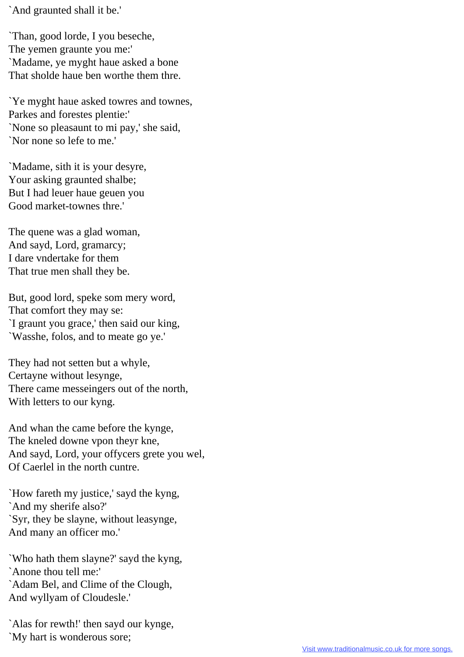`And graunted shall it be.'

`Than, good lorde, I you beseche, The yemen graunte you me:' `Madame, ye myght haue asked a bone That sholde haue ben worthe them thre.

`Ye myght haue asked towres and townes, Parkes and forestes plentie:' `None so pleasaunt to mi pay,' she said, `Nor none so lefe to me.'

`Madame, sith it is your desyre, Your asking graunted shalbe; But I had leuer haue geuen you Good market-townes thre.'

The quene was a glad woman, And sayd, Lord, gramarcy; I dare vndertake for them That true men shall they be.

But, good lord, speke som mery word, That comfort they may se: `I graunt you grace,' then said our king, `Wasshe, folos, and to meate go ye.'

They had not setten but a whyle, Certayne without lesynge, There came messeingers out of the north, With letters to our kyng.

And whan the came before the kynge, The kneled downe vpon theyr kne, And sayd, Lord, your offycers grete you wel, Of Caerlel in the north cuntre.

`How fareth my justice,' sayd the kyng, `And my sherife also?' `Syr, they be slayne, without leasynge, And many an officer mo.'

`Who hath them slayne?' sayd the kyng, `Anone thou tell me:' `Adam Bel, and Clime of the Clough, And wyllyam of Cloudesle.'

`Alas for rewth!' then sayd our kynge, `My hart is wonderous sore;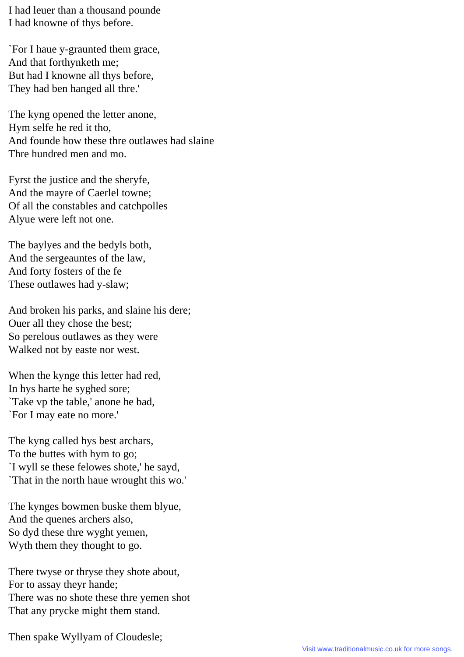I had leuer than a thousand pounde I had knowne of thys before.

`For I haue y-graunted them grace, And that forthynketh me; But had I knowne all thys before, They had ben hanged all thre.'

The kyng opened the letter anone, Hym selfe he red it tho, And founde how these thre outlawes had slaine Thre hundred men and mo.

Fyrst the justice and the sheryfe, And the mayre of Caerlel towne; Of all the constables and catchpolles Alyue were left not one.

The baylyes and the bedyls both, And the sergeauntes of the law, And forty fosters of the fe These outlawes had y-slaw;

And broken his parks, and slaine his dere; Ouer all they chose the best; So perelous outlawes as they were Walked not by easte nor west.

When the kynge this letter had red, In hys harte he syghed sore; `Take vp the table,' anone he bad, `For I may eate no more.'

The kyng called hys best archars, To the buttes with hym to go; `I wyll se these felowes shote,' he sayd, `That in the north haue wrought this wo.'

The kynges bowmen buske them blyue, And the quenes archers also, So dyd these thre wyght yemen, Wyth them they thought to go.

There twyse or thryse they shote about, For to assay theyr hande; There was no shote these thre yemen shot That any prycke might them stand.

Then spake Wyllyam of Cloudesle;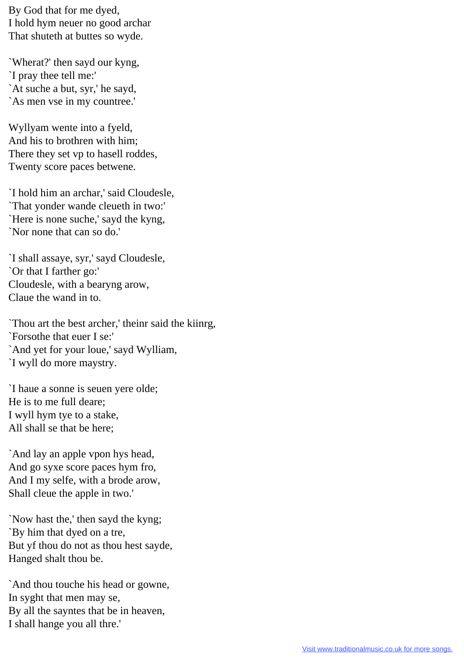By God that for me dyed, I hold hym neuer no good archar That shuteth at buttes so wyde.

`Wherat?' then sayd our kyng, `I pray thee tell me:' `At suche a but, syr,' he sayd, `As men vse in my countree.'

Wyllyam wente into a fyeld, And his to brothren with him; There they set vp to hasell roddes, Twenty score paces betwene.

`I hold him an archar,' said Cloudesle, `That yonder wande cleueth in two:' `Here is none suche,' sayd the kyng, `Nor none that can so do.'

`I shall assaye, syr,' sayd Cloudesle, `Or that I farther go:' Cloudesle, with a bearyng arow, Claue the wand in to.

`Thou art the best archer,' theinr said the kiinrg, `Forsothe that euer I se:' `And yet for your loue,' sayd Wylliam, `I wyll do more maystry.

`I haue a sonne is seuen yere olde; He is to me full deare; I wyll hym tye to a stake, All shall se that be here;

`And lay an apple vpon hys head, And go syxe score paces hym fro, And I my selfe, with a brode arow, Shall cleue the apple in two.'

`Now hast the,' then sayd the kyng; `By him that dyed on a tre, But yf thou do not as thou hest sayde, Hanged shalt thou be.

`And thou touche his head or gowne, In syght that men may se, By all the sayntes that be in heaven, I shall hange you all thre.'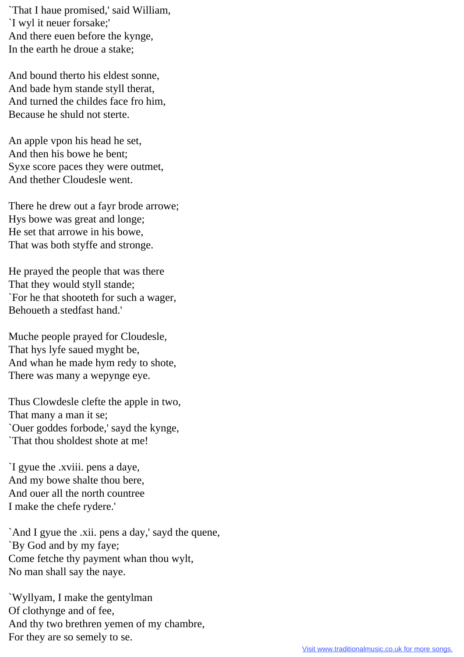`That I haue promised,' said William, `I wyl it neuer forsake;' And there euen before the kynge, In the earth he droue a stake;

And bound therto his eldest sonne, And bade hym stande styll therat, And turned the childes face fro him, Because he shuld not sterte.

An apple vpon his head he set, And then his bowe he bent; Syxe score paces they were outmet, And thether Cloudesle went.

There he drew out a fayr brode arrowe; Hys bowe was great and longe; He set that arrowe in his bowe, That was both styffe and stronge.

He prayed the people that was there That they would styll stande; `For he that shooteth for such a wager, Behoueth a stedfast hand.'

Muche people prayed for Cloudesle, That hys lyfe saued myght be, And whan he made hym redy to shote, There was many a wepynge eye.

Thus Clowdesle clefte the apple in two, That many a man it se; `Ouer goddes forbode,' sayd the kynge, `That thou sholdest shote at me!

`I gyue the .xviii. pens a daye, And my bowe shalte thou bere, And ouer all the north countree I make the chefe rydere.'

`And I gyue the .xii. pens a day,' sayd the quene, `By God and by my faye; Come fetche thy payment whan thou wylt, No man shall say the naye.

`Wyllyam, I make the gentylman Of clothynge and of fee, And thy two brethren yemen of my chambre, For they are so semely to se.